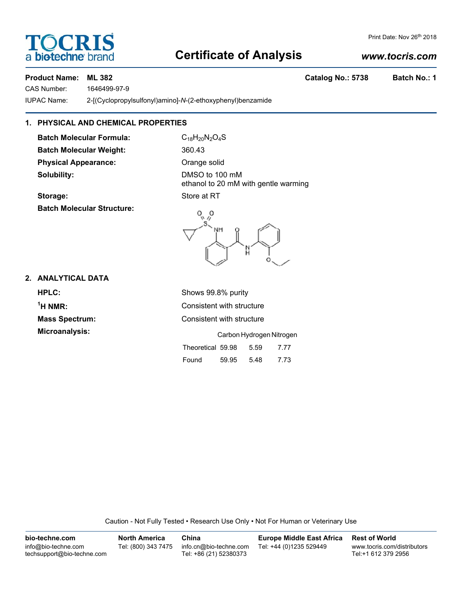# **Certificate of Analysis**

## *www.tocris.com*

Print Date: Nov 26<sup>th</sup> 2018

## **Product Name: ML 382 Catalog No.: 5738 Batch No.: 1**

**TOCRIS** 

CAS Number: 1646499-97-9

a **biotechne** bi

IUPAC Name: 2-[(Cyclopropylsulfonyl)amino]-*N*-(2-ethoxyphenyl)benzamide

## **1. PHYSICAL AND CHEMICAL PROPERTIES**

**Batch Molecular Formula:** C<sub>18</sub>H<sub>20</sub>N<sub>2</sub>O<sub>4</sub>S Batch Molecular Weight: 360.43 **Physical Appearance:** Orange solid **Solubility:** DMSO to 100 mM

ethanol to 20 mM with gentle warming **Storage:** Store at RT

**Batch Molecular Structure:**



**2. ANALYTICAL DATA**

**HPLC:** Shows 99.8% purity  $<sup>1</sup>H NMR$ :</sup> **Microanalysis:** 

**Consistent with structure Mass Spectrum:** Consistent with structure

|                   | Carbon Hydrogen Nitrogen |      |      |  |  |
|-------------------|--------------------------|------|------|--|--|
| Theoretical 59.98 |                          | 5.59 | 7.77 |  |  |
| Found             | 59.95                    | 5.48 | 7.73 |  |  |

Caution - Not Fully Tested • Research Use Only • Not For Human or Veterinary Use

| bio-techne.com                                    | <b>North America</b> | China                                            | <b>Europe Middle East Africa</b> | <b>Rest of World</b>                               |
|---------------------------------------------------|----------------------|--------------------------------------------------|----------------------------------|----------------------------------------------------|
| info@bio-techne.com<br>techsupport@bio-techne.com | Tel: (800) 343 7475  | info.cn@bio-techne.com<br>Tel: +86 (21) 52380373 | Tel: +44 (0)1235 529449          | www.tocris.com/distributors<br>Tel:+1 612 379 2956 |